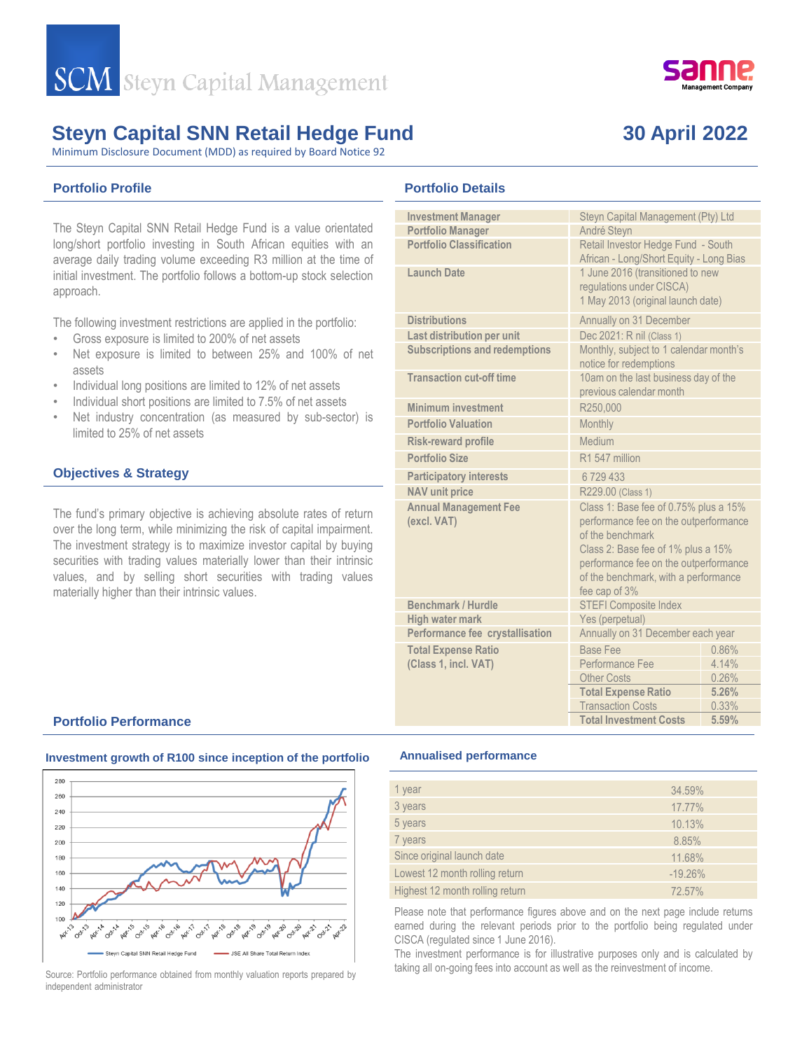

Minimum Disclosure Document (MDD) as required by Board Notice 92

## **Portfolio Profile**

The Steyn Capital SNN Retail Hedge Fund is a value orientated long/short portfolio investing in South African equities with an average daily trading volume exceeding R3 million at the time of initial investment. The portfolio follows a bottom-up stock selection approach.

The following investment restrictions are applied in the portfolio:

- Gross exposure is limited to 200% of net assets
- Net exposure is limited to between 25% and 100% of net assets
- Individual long positions are limited to 12% of net assets
- Individual short positions are limited to 7.5% of net assets
- Net industry concentration (as measured by sub-sector) is limited to 25% of net assets

### **Objectives & Strategy**

The fund's primary objective is achieving absolute rates of return over the long term, while minimizing the risk of capital impairment. The investment strategy is to maximize investor capital by buying securities with trading values materially lower than their intrinsic values, and by selling short securities with trading values materially higher than their intrinsic values.

### **Portfolio Details**

| <b>Investment Manager</b>                   | Steyn Capital Management (Pty) Ltd                                                                                                                                                                                                         |       |  |  |
|---------------------------------------------|--------------------------------------------------------------------------------------------------------------------------------------------------------------------------------------------------------------------------------------------|-------|--|--|
| <b>Portfolio Manager</b>                    | André Steyn                                                                                                                                                                                                                                |       |  |  |
| <b>Portfolio Classification</b>             | Retail Investor Hedge Fund - South<br>African - Long/Short Equity - Long Bias                                                                                                                                                              |       |  |  |
| Launch Date                                 | 1 June 2016 (transitioned to new<br>regulations under CISCA)<br>1 May 2013 (original launch date)                                                                                                                                          |       |  |  |
| <b>Distributions</b>                        | Annually on 31 December                                                                                                                                                                                                                    |       |  |  |
| Last distribution per unit                  | Dec 2021: R nil (Class 1)                                                                                                                                                                                                                  |       |  |  |
| <b>Subscriptions and redemptions</b>        | Monthly, subject to 1 calendar month's<br>notice for redemptions                                                                                                                                                                           |       |  |  |
| <b>Transaction cut-off time</b>             | 10am on the last business day of the<br>previous calendar month                                                                                                                                                                            |       |  |  |
| Minimum investment                          | R250,000                                                                                                                                                                                                                                   |       |  |  |
| <b>Portfolio Valuation</b>                  | Monthly                                                                                                                                                                                                                                    |       |  |  |
| <b>Risk-reward profile</b>                  | Medium                                                                                                                                                                                                                                     |       |  |  |
| <b>Portfolio Size</b>                       | R1 547 million                                                                                                                                                                                                                             |       |  |  |
| <b>Participatory interests</b>              | 6729433                                                                                                                                                                                                                                    |       |  |  |
| <b>NAV</b> unit price                       | R229.00 (Class 1)                                                                                                                                                                                                                          |       |  |  |
| <b>Annual Management Fee</b><br>(excl. VAT) | Class 1: Base fee of 0.75% plus a 15%<br>performance fee on the outperformance<br>of the benchmark<br>Class 2: Base fee of 1% plus a 15%<br>performance fee on the outperformance<br>of the benchmark, with a performance<br>fee cap of 3% |       |  |  |
| Benchmark / Hurdle                          | <b>STEFI Composite Index</b>                                                                                                                                                                                                               |       |  |  |
| <b>High water mark</b>                      | Yes (perpetual)                                                                                                                                                                                                                            |       |  |  |
| Performance fee crystallisation             | Annually on 31 December each year                                                                                                                                                                                                          |       |  |  |
| <b>Total Expense Ratio</b>                  | <b>Base Fee</b>                                                                                                                                                                                                                            | 0.86% |  |  |
| (Class 1, incl. VAT)                        | Performance Fee                                                                                                                                                                                                                            | 4.14% |  |  |
|                                             | <b>Other Costs</b>                                                                                                                                                                                                                         | 0.26% |  |  |
|                                             | <b>Total Expense Ratio</b>                                                                                                                                                                                                                 | 5.26% |  |  |
|                                             | <b>Transaction Costs</b>                                                                                                                                                                                                                   | 0.33% |  |  |
|                                             | <b>Total Investment Costs</b>                                                                                                                                                                                                              | 5.59% |  |  |

#### **Portfolio Performance**



#### **Investment growth of R100 since inception of the portfolio**

Source: Portfolio performance obtained from monthly valuation reports prepared by independent administrator

#### **Annualised performance**

| 1 year                          | 34.59%    |
|---------------------------------|-----------|
| 3 years                         | 17.77%    |
| 5 years                         | 10.13%    |
| 7 years                         | 8.85%     |
| Since original launch date      | 11.68%    |
| Lowest 12 month rolling return  | $-19.26%$ |
| Highest 12 month rolling return | 72.57%    |

Please note that performance figures above and on the next page include returns earned during the relevant periods prior to the portfolio being regulated under CISCA (regulated since 1 June 2016).

The investment performance is for illustrative purposes only and is calculated by taking all on-going fees into account as well as the reinvestment of income.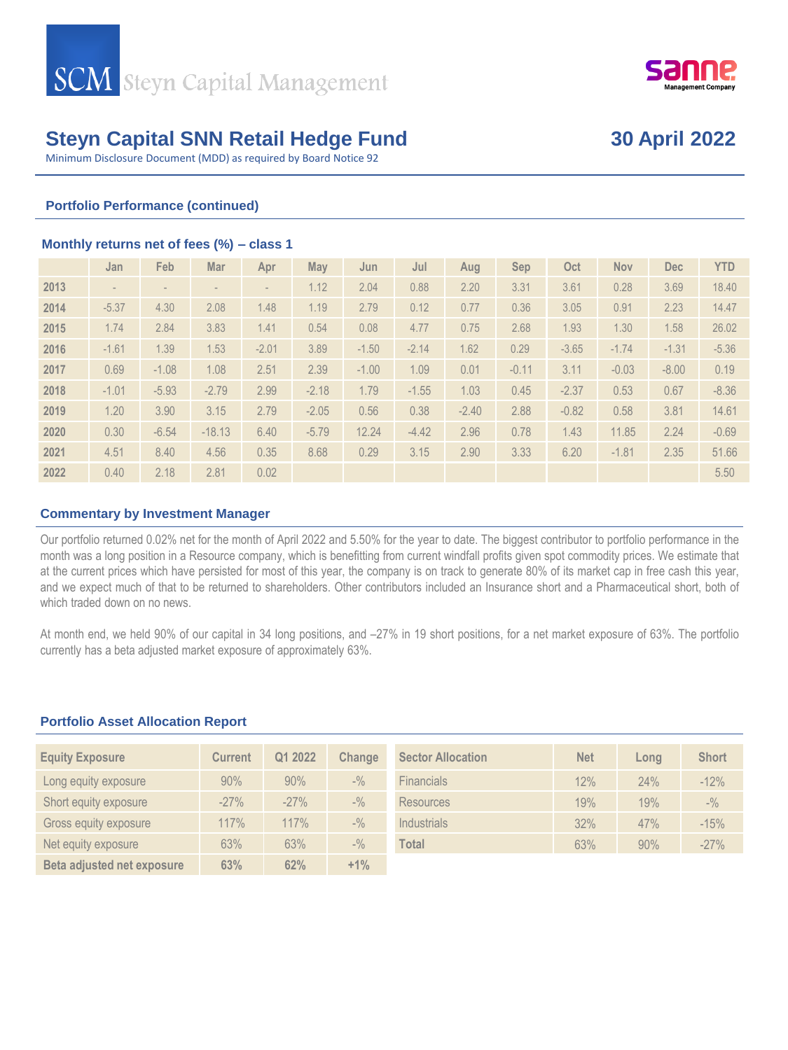



Minimum Disclosure Document (MDD) as required by Board Notice 92

### **Portfolio Performance (continued)**

#### **Monthly returns net of fees (%) – class 1**

|      | Jan     | Feb     | Mar      | Apr     | <b>May</b> | Jun     | Jul     | Aug     | Sep     | Oct     | <b>Nov</b> | <b>Dec</b> | <b>YTD</b> |
|------|---------|---------|----------|---------|------------|---------|---------|---------|---------|---------|------------|------------|------------|
| 2013 |         |         |          |         | 1.12       | 2.04    | 0.88    | 2.20    | 3.31    | 3.61    | 0.28       | 3.69       | 18.40      |
| 2014 | $-5.37$ | 4.30    | 2.08     | 1.48    | 1.19       | 2.79    | 0.12    | 0.77    | 0.36    | 3.05    | 0.91       | 2.23       | 14.47      |
| 2015 | 1.74    | 2.84    | 3.83     | 1.41    | 0.54       | 0.08    | 4.77    | 0.75    | 2.68    | 1.93    | 1.30       | 1.58       | 26.02      |
| 2016 | $-1.61$ | 1.39    | 1.53     | $-2.01$ | 3.89       | $-1.50$ | $-2.14$ | 1.62    | 0.29    | $-3.65$ | $-1.74$    | $-1.31$    | $-5.36$    |
| 2017 | 0.69    | $-1.08$ | 1.08     | 2.51    | 2.39       | $-1.00$ | 1.09    | 0.01    | $-0.11$ | 3.11    | $-0.03$    | $-8.00$    | 0.19       |
| 2018 | $-1.01$ | $-5.93$ | $-2.79$  | 2.99    | $-2.18$    | 1.79    | $-1.55$ | 1.03    | 0.45    | $-2.37$ | 0.53       | 0.67       | $-8.36$    |
| 2019 | 1.20    | 3.90    | 3.15     | 2.79    | $-2.05$    | 0.56    | 0.38    | $-2.40$ | 2.88    | $-0.82$ | 0.58       | 3.81       | 14.61      |
| 2020 | 0.30    | $-6.54$ | $-18.13$ | 6.40    | $-5.79$    | 12.24   | $-4.42$ | 2.96    | 0.78    | 1.43    | 11.85      | 2.24       | $-0.69$    |
| 2021 | 4.51    | 8.40    | 4.56     | 0.35    | 8.68       | 0.29    | 3.15    | 2.90    | 3.33    | 6.20    | $-1.81$    | 2.35       | 51.66      |
| 2022 | 0.40    | 2.18    | 2.81     | 0.02    |            |         |         |         |         |         |            |            | 5.50       |

### **Commentary by Investment Manager**

Our portfolio returned 0.02% net for the month of April 2022 and 5.50% for the year to date. The biggest contributor to portfolio performance in the month was a long position in a Resource company, which is benefitting from current windfall profits given spot commodity prices. We estimate that at the current prices which have persisted for most of this year, the company is on track to generate 80% of its market cap in free cash this year, and we expect much of that to be returned to shareholders. Other contributors included an Insurance short and a Pharmaceutical short, both of which traded down on no news.

At month end, we held 90% of our capital in 34 long positions, and –27% in 19 short positions, for a net market exposure of 63%. The portfolio currently has a beta adjusted market exposure of approximately 63%.

### **Portfolio Asset Allocation Report**

| <b>Equity Exposure</b>     | Current | Q1 2022 | Change                          | <b>Sector Allocation</b> | <b>Net</b> | Lona | <b>Short</b> |
|----------------------------|---------|---------|---------------------------------|--------------------------|------------|------|--------------|
| Long equity exposure       | 90%     | 90%     | $-$ %                           | <b>Financials</b>        | 12%        | 24%  | $-12%$       |
| Short equity exposure      | $-27%$  | $-27%$  | $-$ %                           | Resources                | 19%        | 19%  | $-$ %        |
| Gross equity exposure      | 117%    | 117%    | $-$ <sup>0</sup> / <sub>0</sub> | Industrials              | 32%        | 47%  | $-15%$       |
| Net equity exposure        | 63%     | 63%     | $-$ %                           | Total                    | 63%        | 90%  | $-27%$       |
| Beta adjusted net exposure | 63%     | 62%     | $+1\%$                          |                          |            |      |              |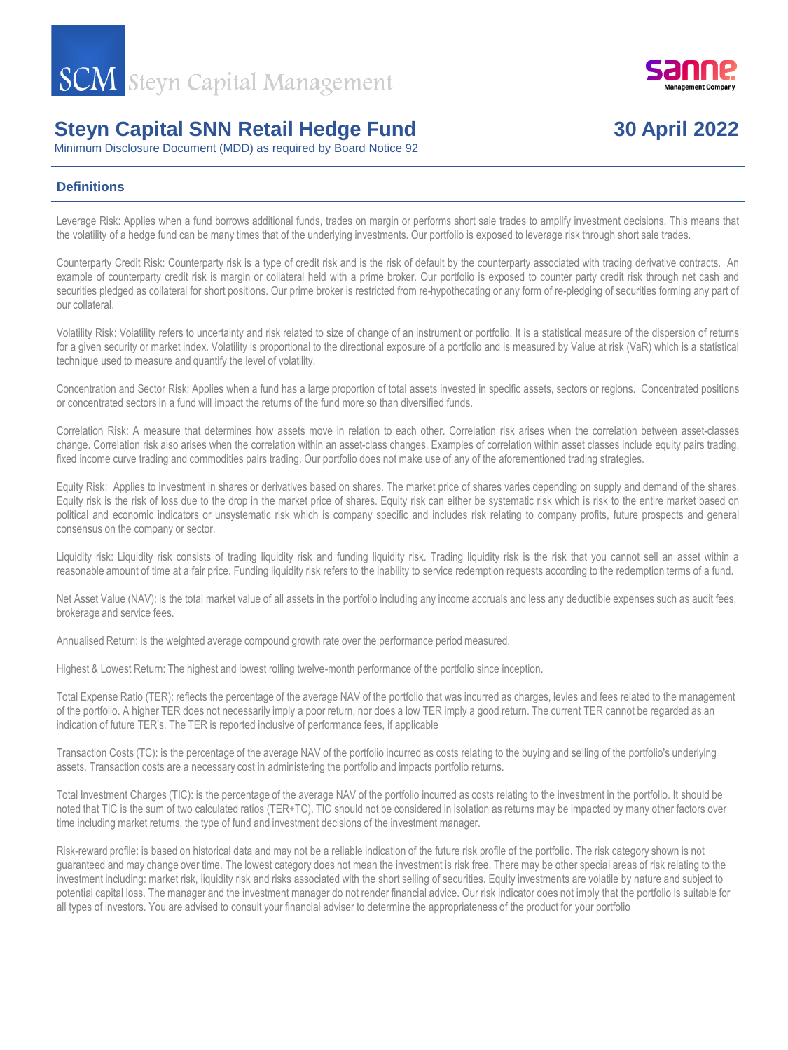

Minimum Disclosure Document (MDD) as required by Board Notice 92

## **Definitions**

Leverage Risk: Applies when a fund borrows additional funds, trades on margin or performs short sale trades to amplify investment decisions. This means that the volatility of a hedge fund can be many times that of the underlying investments. Our portfolio is exposed to leverage risk through short sale trades.

Counterparty Credit Risk: Counterparty risk is a type of credit risk and is the risk of default by the counterparty associated with trading derivative contracts. An example of counterparty credit risk is margin or collateral held with a prime broker. Our portfolio is exposed to counter party credit risk through net cash and securities pledged as collateral for short positions. Our prime broker is restricted from re-hypothecating or any form of re-pledging of securities forming any part of our collateral.

Volatility Risk: Volatility refers to uncertainty and risk related to size of change of an instrument or portfolio. It is a statistical measure of the dispersion of returns for a given security or market index. Volatility is proportional to the directional exposure of a portfolio and is measured by Value at risk (VaR) which is a statistical technique used to measure and quantify the level of volatility.

Concentration and Sector Risk: Applies when a fund has a large proportion of total assets invested in specific assets, sectors or regions. Concentrated positions or concentrated sectors in a fund will impact the returns of the fund more so than diversified funds.

Correlation Risk: A measure that determines how assets move in relation to each other. Correlation risk arises when the correlation between asset-classes change. Correlation risk also arises when the correlation within an asset-class changes. Examples of correlation within asset classes include equity pairs trading, fixed income curve trading and commodities pairs trading. Our portfolio does not make use of any of the aforementioned trading strategies.

Equity Risk: Applies to investment in shares or derivatives based on shares. The market price of shares varies depending on supply and demand of the shares. Equity risk is the risk of loss due to the drop in the market price of shares. Equity risk can either be systematic risk which is risk to the entire market based on political and economic indicators or unsystematic risk which is company specific and includes risk relating to company profits, future prospects and general consensus on the company or sector.

Liquidity risk: Liquidity risk consists of trading liquidity risk and funding liquidity risk. Trading liquidity risk is the risk that you cannot sell an asset within a reasonable amount of time at a fair price. Funding liquidity risk refers to the inability to service redemption requests according to the redemption terms of a fund.

Net Asset Value (NAV): is the total market value of all assets in the portfolio including any income accruals and less any deductible expenses such as audit fees, brokerage and service fees.

Annualised Return: is the weighted average compound growth rate over the performance period measured.

Highest & Lowest Return: The highest and lowest rolling twelve-month performance of the portfolio since inception.

Total Expense Ratio (TER): reflects the percentage of the average NAV of the portfolio that was incurred as charges, levies and fees related to the management of the portfolio. A higher TER does not necessarily imply a poor return, nor does a low TER imply a good return. The current TER cannot be regarded as an indication of future TER's. The TER is reported inclusive of performance fees, if applicable

Transaction Costs (TC): is the percentage of the average NAV of the portfolio incurred as costs relating to the buying and selling of the portfolio's underlying assets. Transaction costs are a necessary cost in administering the portfolio and impacts portfolio returns.

Total Investment Charges (TIC): is the percentage of the average NAV of the portfolio incurred as costs relating to the investment in the portfolio. It should be noted that TIC is the sum of two calculated ratios (TER+TC). TIC should not be considered in isolation as returns may be impacted by many other factors over time including market returns, the type of fund and investment decisions of the investment manager.

Risk-reward profile: is based on historical data and may not be a reliable indication of the future risk profile of the portfolio. The risk category shown is not guaranteed and may change over time. The lowest category does not mean the investment is risk free. There may be other special areas of risk relating to the investment including: market risk, liquidity risk and risks associated with the short selling of securities. Equity investments are volatile by nature and subject to potential capital loss. The manager and the investment manager do not render financial advice. Our risk indicator does not imply that the portfolio is suitable for all types of investors. You are advised to consult your financial adviser to determine the appropriateness of the product for your portfolio